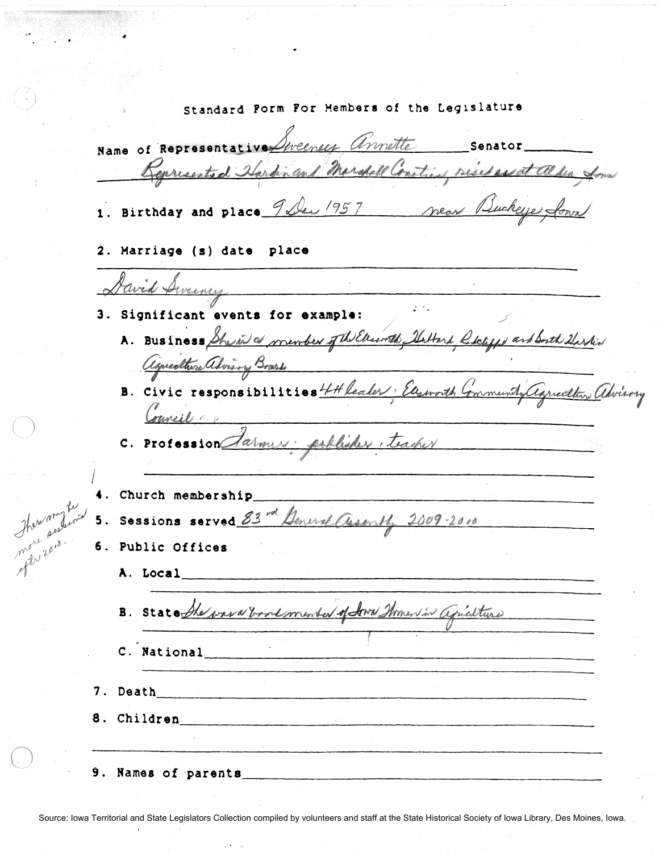standard Form For Hembers of the Leq1slature Name of Representative Sweeney annually senator Represented Hardin and Marshall Construct resident alden form 1. Birthday and place 9 De 1957 Near Buckeye foun 2. Marriage (s) date place David Sweener 3. Significant events for example: A. Business She ind a member of the Electronich Stattard Cologge and South Starting Council on  $\int$ Church membership \_\_\_\_\_\_\_\_\_\_\_\_\_\_\_\_\_\_\_\_\_\_\_\_\_\_\_\_\_\_\_\_\_\_\_\_\_ \_\_ 5. Sessions served  $83^{-d}$  General Associty 2009-2010 There and in 6. Public Offices A. Local \_\_\_\_\_\_\_\_\_\_\_\_\_\_\_\_\_\_\_\_\_\_\_\_\_\_\_\_\_\_\_\_\_\_\_\_\_\_\_\_\_\_\_\_ \_\_\_ B. State the wave book member of dove throws in agriculture C. National **C.** *1.* Death \_\_\_\_\_\_\_\_\_\_\_\_\_\_\_\_\_\_\_\_\_\_\_\_\_\_\_\_\_\_\_\_\_\_\_\_\_\_ \_\_\_ 8. Children <u>and a set of the set of the set of the set of the set of the set of the set of the set of the set of the set of the set of the set of the set of the set of the set of the set of the set of the set of the set o</u>  $9.$  Names of parents  $\qquad \qquad \qquad$ 

.~) *./* 

 $\bigodot$ 

Source: Iowa Territorial and State Legislators Collection compiled by volunteers and staff at the State Historical Society of Iowa Library, Des Moines, Iowa.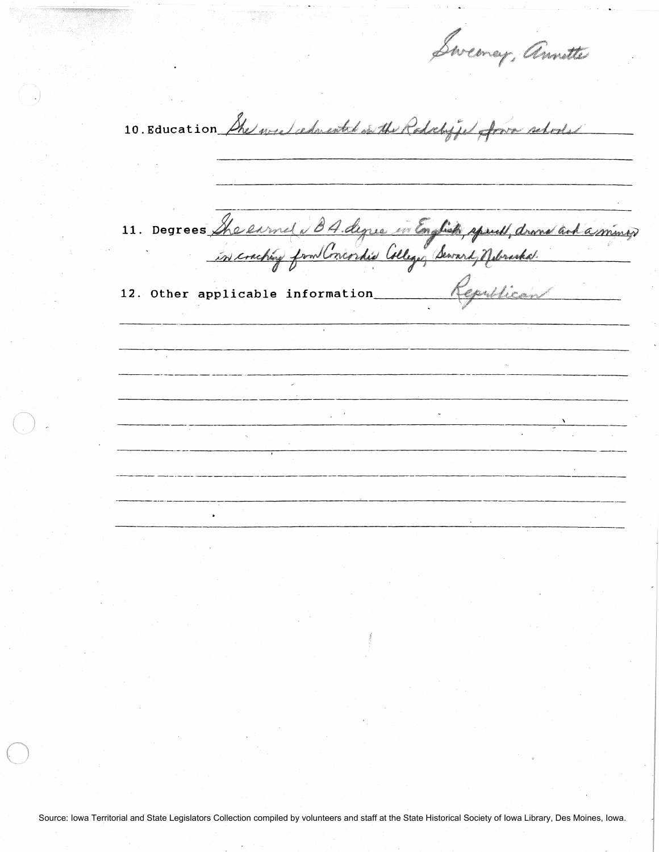Swemey, Amster

10. Education She we edwarded on the Radochiffe form rebooled

11. Degrees She en met i BA degree in English spant, drand and a miner

12. Other applicable information Republican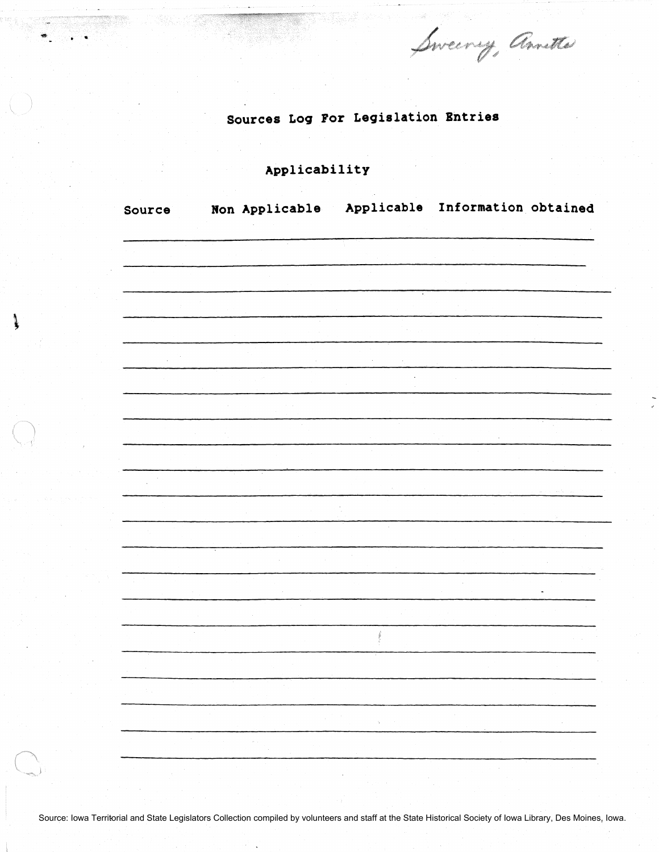Sweery, Amette

## Sources Log For Legislation Entries

Applicability

 $\ddot{\phantom{a}}$ 

١

| Source           | Non Applicable |                             | Applicable Information obtained |
|------------------|----------------|-----------------------------|---------------------------------|
|                  |                |                             |                                 |
|                  |                |                             |                                 |
|                  |                |                             |                                 |
|                  |                |                             |                                 |
|                  |                |                             |                                 |
|                  |                |                             |                                 |
|                  |                |                             |                                 |
|                  |                |                             |                                 |
|                  |                |                             |                                 |
|                  |                |                             |                                 |
|                  |                |                             |                                 |
|                  |                |                             |                                 |
|                  |                |                             |                                 |
|                  |                |                             |                                 |
|                  |                |                             |                                 |
| $\mathbb{C}^n$ . |                |                             |                                 |
|                  |                | $\mathcal{G}_{\mathcal{C}}$ |                                 |
|                  | $\rightarrow$  |                             |                                 |
|                  |                |                             |                                 |

Source: Iowa Territorial and State Legislators Collection compiled by volunteers and staff at the State Historical Society of Iowa Library, Des Moines, Iowa.